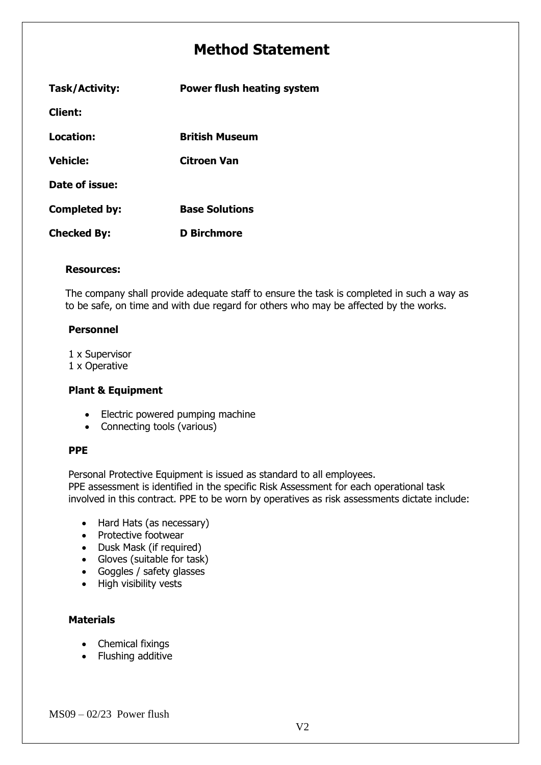# **Method Statement**

| Task/Activity:       | <b>Power flush heating system</b> |  |
|----------------------|-----------------------------------|--|
| <b>Client:</b>       |                                   |  |
| Location:            | British Museum                    |  |
| <b>Vehicle:</b>      | Citroen Van                       |  |
| Date of issue:       |                                   |  |
| <b>Completed by:</b> | <b>Base Solutions</b>             |  |
| <b>Checked By:</b>   | <b>D</b> Birchmore                |  |

#### **Resources:**

The company shall provide adequate staff to ensure the task is completed in such a way as to be safe, on time and with due regard for others who may be affected by the works.

#### **Personnel**

1 x Supervisor

1 x Operative

#### **Plant & Equipment**

- Electric powered pumping machine
- Connecting tools (various)

#### **PPE**

Personal Protective Equipment is issued as standard to all employees.

PPE assessment is identified in the specific Risk Assessment for each operational task involved in this contract. PPE to be worn by operatives as risk assessments dictate include:

- Hard Hats (as necessary)
- Protective footwear
- Dusk Mask (if required)
- Gloves (suitable for task)
- Goggles / safety glasses
- High visibility vests

## **Materials**

- Chemical fixings
- Flushing additive

 $MS09 - 02/23$  Power flush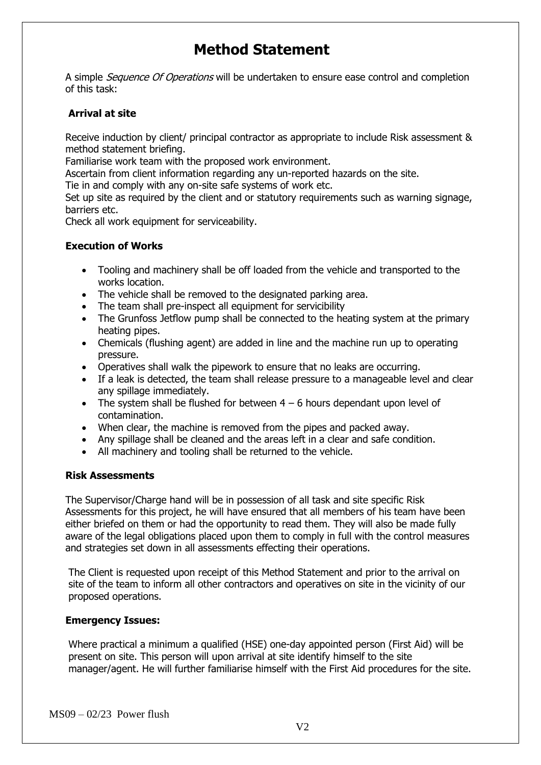# **Method Statement**

A simple *Sequence Of Operations* will be undertaken to ensure ease control and completion of this task:

## **Arrival at site**

Receive induction by client/ principal contractor as appropriate to include Risk assessment & method statement briefing.

Familiarise work team with the proposed work environment.

Ascertain from client information regarding any un-reported hazards on the site.

Tie in and comply with any on-site safe systems of work etc.

Set up site as required by the client and or statutory requirements such as warning signage, barriers etc.

Check all work equipment for serviceability.

## **Execution of Works**

- Tooling and machinery shall be off loaded from the vehicle and transported to the works location.
- The vehicle shall be removed to the designated parking area.
- The team shall pre-inspect all equipment for servicibility
- The Grunfoss Jetflow pump shall be connected to the heating system at the primary heating pipes.
- Chemicals (flushing agent) are added in line and the machine run up to operating pressure.
- Operatives shall walk the pipework to ensure that no leaks are occurring.
- If a leak is detected, the team shall release pressure to a manageable level and clear any spillage immediately.
- The system shall be flushed for between  $4 6$  hours dependant upon level of contamination.
- When clear, the machine is removed from the pipes and packed away.
- Any spillage shall be cleaned and the areas left in a clear and safe condition.
- All machinery and tooling shall be returned to the vehicle.

#### **Risk Assessments**

The Supervisor/Charge hand will be in possession of all task and site specific Risk Assessments for this project, he will have ensured that all members of his team have been either briefed on them or had the opportunity to read them. They will also be made fully aware of the legal obligations placed upon them to comply in full with the control measures and strategies set down in all assessments effecting their operations.

The Client is requested upon receipt of this Method Statement and prior to the arrival on site of the team to inform all other contractors and operatives on site in the vicinity of our proposed operations.

#### **Emergency Issues:**

Where practical a minimum a qualified (HSE) one-day appointed person (First Aid) will be present on site. This person will upon arrival at site identify himself to the site manager/agent. He will further familiarise himself with the First Aid procedures for the site.